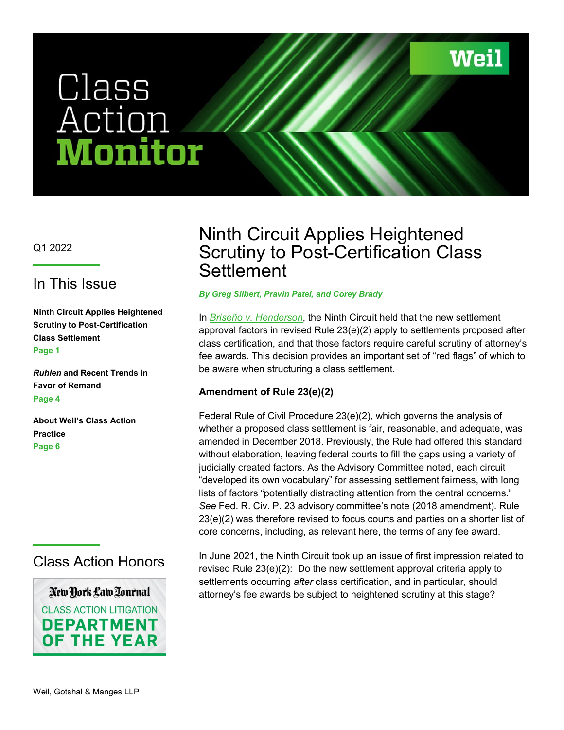**Weil** 

# Class<br>Action En ouAT

Q1 2022

### In This Issue

**Ninth Circuit Applies Heightened Scrutiny to Post-Certification Class Settlement Page 1**

*Ruhlen* **and Recent Trends in Favor of Remand Page 4**

**About Weil's Class Action Practice Page 6** 

## Class Action Honors

New York Law Tournal **CLASS ACTION LITIGATION DEPARTMENT OF THE YEAR** 

## Ninth Circuit Applies Heightened Scrutiny to Post-Certification Class **Settlement**

#### *By Greg Silbert, Pravin Patel, and Corey Brady*

In *[Briseño v. Henderson](https://cdn.ca9.uscourts.gov/datastore/opinions/2021/06/01/19-56297.pdf)*, the Ninth Circuit held that the new settlement approval factors in revised Rule 23(e)(2) apply to settlements proposed after class certification, and that those factors require careful scrutiny of attorney's fee awards. This decision provides an important set of "red flags" of which to be aware when structuring a class settlement.

#### **Amendment of Rule 23(e)(2)**

Federal Rule of Civil Procedure 23(e)(2), which governs the analysis of whether a proposed class settlement is fair, reasonable, and adequate, was amended in December 2018. Previously, the Rule had offered this standard without elaboration, leaving federal courts to fill the gaps using a variety of judicially created factors. As the Advisory Committee noted, each circuit "developed its own vocabulary" for assessing settlement fairness, with long lists of factors "potentially distracting attention from the central concerns." *See* Fed. R. Civ. P. 23 advisory committee's note (2018 amendment). Rule 23(e)(2) was therefore revised to focus courts and parties on a shorter list of core concerns, including, as relevant here, the terms of any fee award.

In June 2021, the Ninth Circuit took up an issue of first impression related to revised Rule 23(e)(2): Do the new settlement approval criteria apply to settlements occurring *after* class certification, and in particular, should attorney's fee awards be subject to heightened scrutiny at this stage?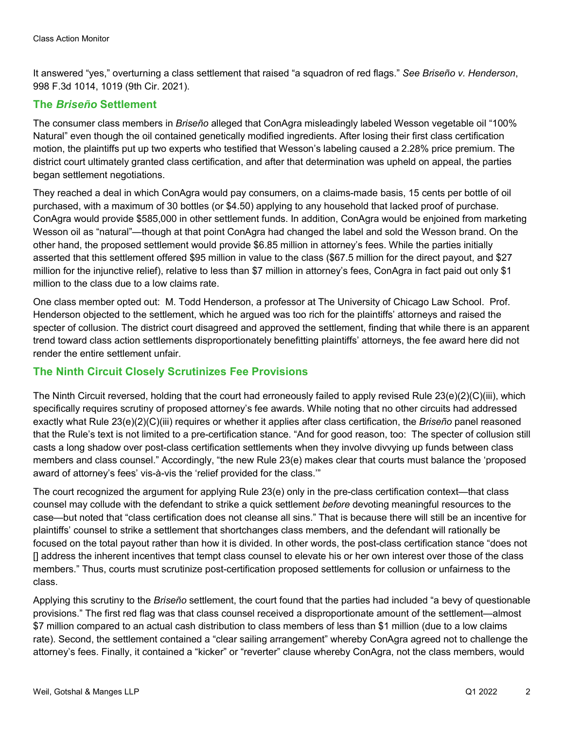It answered "yes," overturning a class settlement that raised "a squadron of red flags." *See Briseño v. Henderson*, 998 F.3d 1014, 1019 (9th Cir. 2021).

#### **The** *Briseño* **Settlement**

The consumer class members in *Briseño* alleged that ConAgra misleadingly labeled Wesson vegetable oil "100% Natural" even though the oil contained genetically modified ingredients. After losing their first class certification motion, the plaintiffs put up two experts who testified that Wesson's labeling caused a 2.28% price premium. The district court ultimately granted class certification, and after that determination was upheld on appeal, the parties began settlement negotiations.

They reached a deal in which ConAgra would pay consumers, on a claims-made basis, 15 cents per bottle of oil purchased, with a maximum of 30 bottles (or \$4.50) applying to any household that lacked proof of purchase. ConAgra would provide \$585,000 in other settlement funds. In addition, ConAgra would be enjoined from marketing Wesson oil as "natural"—though at that point ConAgra had changed the label and sold the Wesson brand. On the other hand, the proposed settlement would provide \$6.85 million in attorney's fees. While the parties initially asserted that this settlement offered \$95 million in value to the class (\$67.5 million for the direct payout, and \$27 million for the injunctive relief), relative to less than \$7 million in attorney's fees, ConAgra in fact paid out only \$1 million to the class due to a low claims rate.

One class member opted out: M. Todd Henderson, a professor at The University of Chicago Law School. Prof. Henderson objected to the settlement, which he argued was too rich for the plaintiffs' attorneys and raised the specter of collusion. The district court disagreed and approved the settlement, finding that while there is an apparent trend toward class action settlements disproportionately benefitting plaintiffs' attorneys, the fee award here did not render the entire settlement unfair.

#### **The Ninth Circuit Closely Scrutinizes Fee Provisions**

The Ninth Circuit reversed, holding that the court had erroneously failed to apply revised Rule 23(e)(2)(C)(iii), which specifically requires scrutiny of proposed attorney's fee awards. While noting that no other circuits had addressed exactly what Rule 23(e)(2)(C)(iii) requires or whether it applies after class certification, the *Briseño* panel reasoned that the Rule's text is not limited to a pre-certification stance. "And for good reason, too: The specter of collusion still casts a long shadow over post-class certification settlements when they involve divvying up funds between class members and class counsel." Accordingly, "the new Rule 23(e) makes clear that courts must balance the 'proposed award of attorney's fees' vis-à-vis the 'relief provided for the class.'"

The court recognized the argument for applying Rule 23(e) only in the pre-class certification context—that class counsel may collude with the defendant to strike a quick settlement *before* devoting meaningful resources to the case—but noted that "class certification does not cleanse all sins." That is because there will still be an incentive for plaintiffs' counsel to strike a settlement that shortchanges class members, and the defendant will rationally be focused on the total payout rather than how it is divided. In other words, the post-class certification stance "does not [] address the inherent incentives that tempt class counsel to elevate his or her own interest over those of the class members." Thus, courts must scrutinize post-certification proposed settlements for collusion or unfairness to the class.

Applying this scrutiny to the *Briseño* settlement, the court found that the parties had included "a bevy of questionable provisions." The first red flag was that class counsel received a disproportionate amount of the settlement—almost \$7 million compared to an actual cash distribution to class members of less than \$1 million (due to a low claims rate). Second, the settlement contained a "clear sailing arrangement" whereby ConAgra agreed not to challenge the attorney's fees. Finally, it contained a "kicker" or "reverter" clause whereby ConAgra, not the class members, would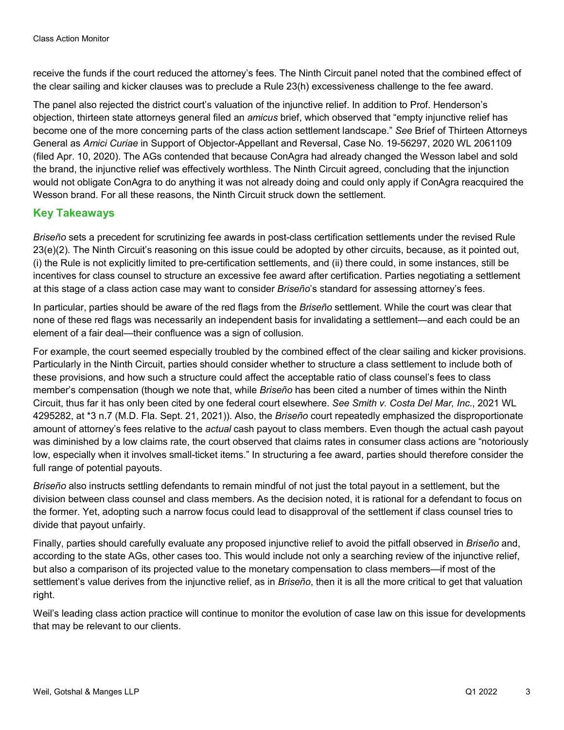receive the funds if the court reduced the attorney's fees. The Ninth Circuit panel noted that the combined effect of the clear sailing and kicker clauses was to preclude a Rule 23(h) excessiveness challenge to the fee award.

The panel also rejected the district court's valuation of the injunctive relief. In addition to Prof. Henderson's objection, thirteen state attorneys general filed an *amicus* brief, which observed that "empty injunctive relief has become one of the more concerning parts of the class action settlement landscape." *See* Brief of Thirteen Attorneys General as *Amici Curiae* in Support of Objector-Appellant and Reversal, Case No. 19-56297, 2020 WL 2061109 (filed Apr. 10, 2020). The AGs contended that because ConAgra had already changed the Wesson label and sold the brand, the injunctive relief was effectively worthless. The Ninth Circuit agreed, concluding that the injunction would not obligate ConAgra to do anything it was not already doing and could only apply if ConAgra reacquired the Wesson brand. For all these reasons, the Ninth Circuit struck down the settlement.

#### **Key Takeaways**

*Briseño* sets a precedent for scrutinizing fee awards in post-class certification settlements under the revised Rule 23(e)(2). The Ninth Circuit's reasoning on this issue could be adopted by other circuits, because, as it pointed out, (i) the Rule is not explicitly limited to pre-certification settlements, and (ii) there could, in some instances, still be incentives for class counsel to structure an excessive fee award after certification. Parties negotiating a settlement at this stage of a class action case may want to consider *Briseño*'s standard for assessing attorney's fees.

In particular, parties should be aware of the red flags from the *Briseño* settlement. While the court was clear that none of these red flags was necessarily an independent basis for invalidating a settlement—and each could be an element of a fair deal—their confluence was a sign of collusion.

For example, the court seemed especially troubled by the combined effect of the clear sailing and kicker provisions. Particularly in the Ninth Circuit, parties should consider whether to structure a class settlement to include both of these provisions, and how such a structure could affect the acceptable ratio of class counsel's fees to class member's compensation (though we note that, while *Briseño* has been cited a number of times within the Ninth Circuit, thus far it has only been cited by one federal court elsewhere. *See Smith v. Costa Del Mar, Inc.*, 2021 WL 4295282, at \*3 n.7 (M.D. Fla. Sept. 21, 2021)). Also, the *Briseño* court repeatedly emphasized the disproportionate amount of attorney's fees relative to the *actual* cash payout to class members. Even though the actual cash payout was diminished by a low claims rate, the court observed that claims rates in consumer class actions are "notoriously low, especially when it involves small-ticket items." In structuring a fee award, parties should therefore consider the full range of potential payouts.

*Briseño* also instructs settling defendants to remain mindful of not just the total payout in a settlement, but the division between class counsel and class members. As the decision noted, it is rational for a defendant to focus on the former. Yet, adopting such a narrow focus could lead to disapproval of the settlement if class counsel tries to divide that payout unfairly.

Finally, parties should carefully evaluate any proposed injunctive relief to avoid the pitfall observed in *Briseño* and, according to the state AGs, other cases too. This would include not only a searching review of the injunctive relief, but also a comparison of its projected value to the monetary compensation to class members—if most of the settlement's value derives from the injunctive relief, as in *Briseño*, then it is all the more critical to get that valuation right.

Weil's leading class action practice will continue to monitor the evolution of case law on this issue for developments that may be relevant to our clients.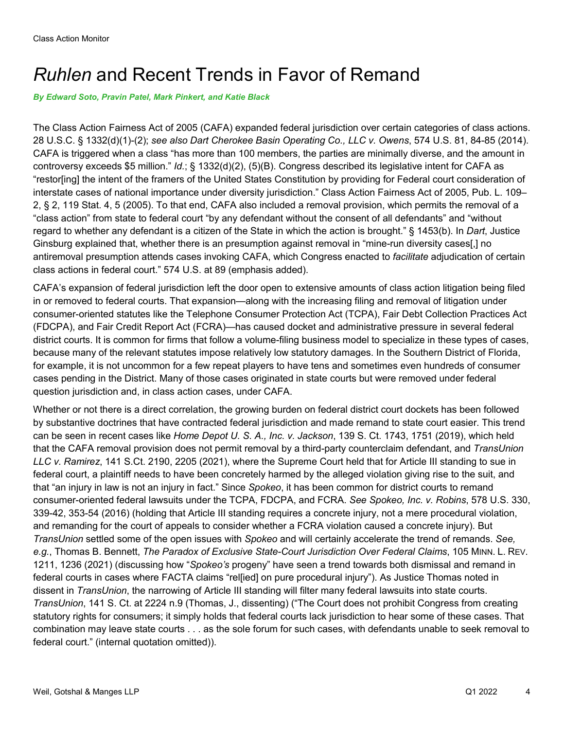## *Ruhlen* and Recent Trends in Favor of Remand

*By Edward Soto, Pravin Patel, Mark Pinkert, and Katie Black*

The Class Action Fairness Act of 2005 (CAFA) expanded federal jurisdiction over certain categories of class actions. 28 U.S.C. § 1332(d)(1)-(2); *see also Dart Cherokee Basin Operating Co., LLC v. Owens*, 574 U.S. 81, 84-85 (2014). CAFA is triggered when a class "has more than 100 members, the parties are minimally diverse, and the amount in controversy exceeds \$5 million." *Id.*; § 1332(d)(2), (5)(B). Congress described its legislative intent for CAFA as "restor[ing] the intent of the framers of the United States Constitution by providing for Federal court consideration of interstate cases of national importance under diversity jurisdiction." Class Action Fairness Act of 2005, Pub. L. 109– 2, § 2, 119 Stat. 4, 5 (2005). To that end, CAFA also included a removal provision, which permits the removal of a "class action" from state to federal court "by any defendant without the consent of all defendants" and "without regard to whether any defendant is a citizen of the State in which the action is brought." § 1453(b). In *Dart*, Justice Ginsburg explained that, whether there is an presumption against removal in "mine-run diversity cases[,] no antiremoval presumption attends cases invoking CAFA, which Congress enacted to *facilitate* adjudication of certain class actions in federal court." 574 U.S. at 89 (emphasis added).

CAFA's expansion of federal jurisdiction left the door open to extensive amounts of class action litigation being filed in or removed to federal courts. That expansion—along with the increasing filing and removal of litigation under consumer-oriented statutes like the Telephone Consumer Protection Act (TCPA), Fair Debt Collection Practices Act (FDCPA), and Fair Credit Report Act (FCRA)—has caused docket and administrative pressure in several federal district courts. It is common for firms that follow a volume-filing business model to specialize in these types of cases, because many of the relevant statutes impose relatively low statutory damages. In the Southern District of Florida, for example, it is not uncommon for a few repeat players to have tens and sometimes even hundreds of consumer cases pending in the District. Many of those cases originated in state courts but were removed under federal question jurisdiction and, in class action cases, under CAFA.

Whether or not there is a direct correlation, the growing burden on federal district court dockets has been followed by substantive doctrines that have contracted federal jurisdiction and made remand to state court easier. This trend can be seen in recent cases like *Home Depot U. S. A., Inc. v. Jackson*, 139 S. Ct. 1743, 1751 (2019), which held that the CAFA removal provision does not permit removal by a third-party counterclaim defendant, and *TransUnion LLC v. Ramirez*, 141 S.Ct. 2190, 2205 (2021), where the Supreme Court held that for Article III standing to sue in federal court, a plaintiff needs to have been concretely harmed by the alleged violation giving rise to the suit, and that "an injury in law is not an injury in fact." Since *Spokeo*, it has been common for district courts to remand consumer-oriented federal lawsuits under the TCPA, FDCPA, and FCRA. *See Spokeo, Inc. v. Robins*, 578 U.S. 330, 339-42, 353-54 (2016) (holding that Article III standing requires a concrete injury, not a mere procedural violation, and remanding for the court of appeals to consider whether a FCRA violation caused a concrete injury). But *TransUnion* settled some of the open issues with *Spokeo* and will certainly accelerate the trend of remands. *See, e.g.*, Thomas B. Bennett, *The Paradox of Exclusive State-Court Jurisdiction Over Federal Claims*, 105 MINN. L. REV. 1211, 1236 (2021) (discussing how "*Spokeo's* progeny" have seen a trend towards both dismissal and remand in federal courts in cases where FACTA claims "rel[ied] on pure procedural injury"). As Justice Thomas noted in dissent in *TransUnion*, the narrowing of Article III standing will filter many federal lawsuits into state courts. *TransUnion*, 141 S. Ct. at 2224 n.9 (Thomas, J., dissenting) ("The Court does not prohibit Congress from creating statutory rights for consumers; it simply holds that federal courts lack jurisdiction to hear some of these cases. That combination may leave state courts . . . as the sole forum for such cases, with defendants unable to seek removal to federal court." (internal quotation omitted)).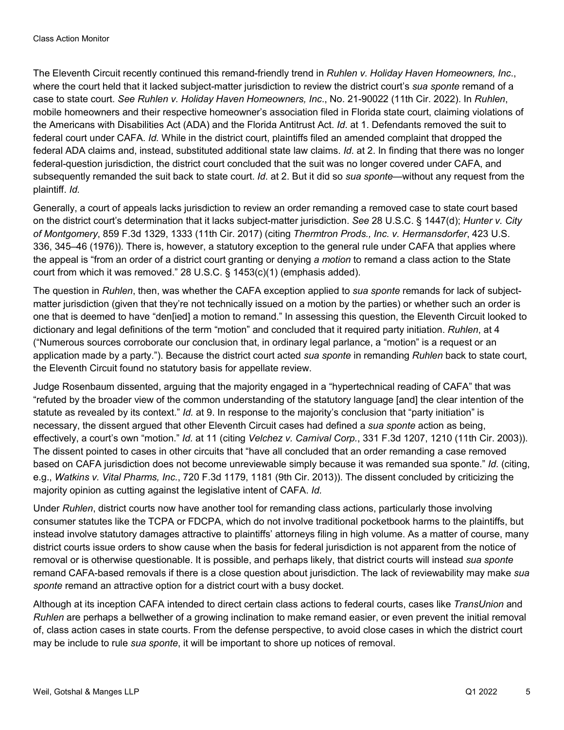The Eleventh Circuit recently continued this remand-friendly trend in *Ruhlen v. Holiday Haven Homeowners, Inc*., where the court held that it lacked subject-matter jurisdiction to review the district court's *sua sponte* remand of a case to state court. *See Ruhlen v. Holiday Haven Homeowners, Inc*., No. 21-90022 (11th Cir. 2022). In *Ruhlen*, mobile homeowners and their respective homeowner's association filed in Florida state court, claiming violations of the Americans with Disabilities Act (ADA) and the Florida Antitrust Act. *Id*. at 1. Defendants removed the suit to federal court under CAFA. *Id.* While in the district court, plaintiffs filed an amended complaint that dropped the federal ADA claims and, instead, substituted additional state law claims. *Id*. at 2. In finding that there was no longer federal-question jurisdiction, the district court concluded that the suit was no longer covered under CAFA, and subsequently remanded the suit back to state court. *Id*. at 2. But it did so *sua sponte*—without any request from the plaintiff. *Id.*

Generally, a court of appeals lacks jurisdiction to review an order remanding a removed case to state court based on the district court's determination that it lacks subject-matter jurisdiction. *See* 28 U.S.C. § 1447(d); *Hunter v. City of Montgomery*, 859 F.3d 1329, 1333 (11th Cir. 2017) (citing *Thermtron Prods., Inc. v. Hermansdorfer*, 423 U.S. 336, 345–46 (1976)). There is, however, a statutory exception to the general rule under CAFA that applies where the appeal is "from an order of a district court granting or denying *a motion* to remand a class action to the State court from which it was removed." 28 U.S.C. § 1453(c)(1) (emphasis added).

The question in *Ruhlen*, then, was whether the CAFA exception applied to *sua sponte* remands for lack of subjectmatter jurisdiction (given that they're not technically issued on a motion by the parties) or whether such an order is one that is deemed to have "den[ied] a motion to remand." In assessing this question, the Eleventh Circuit looked to dictionary and legal definitions of the term "motion" and concluded that it required party initiation. *Ruhlen*, at 4 ("Numerous sources corroborate our conclusion that, in ordinary legal parlance, a "motion" is a request or an application made by a party."). Because the district court acted *sua sponte* in remanding *Ruhlen* back to state court, the Eleventh Circuit found no statutory basis for appellate review.

Judge Rosenbaum dissented, arguing that the majority engaged in a "hypertechnical reading of CAFA" that was "refuted by the broader view of the common understanding of the statutory language [and] the clear intention of the statute as revealed by its context." *Id.* at 9. In response to the majority's conclusion that "party initiation" is necessary, the dissent argued that other Eleventh Circuit cases had defined a *sua sponte* action as being, effectively, a court's own "motion." *Id.* at 11 (citing *Velchez v. Carnival Corp.*, 331 F.3d 1207, 1210 (11th Cir. 2003)). The dissent pointed to cases in other circuits that "have all concluded that an order remanding a case removed based on CAFA jurisdiction does not become unreviewable simply because it was remanded sua sponte." *Id.* (citing, e.g., *Watkins v. Vital Pharms, Inc.*, 720 F.3d 1179, 1181 (9th Cir. 2013)). The dissent concluded by criticizing the majority opinion as cutting against the legislative intent of CAFA. *Id.*

Under *Ruhlen*, district courts now have another tool for remanding class actions, particularly those involving consumer statutes like the TCPA or FDCPA, which do not involve traditional pocketbook harms to the plaintiffs, but instead involve statutory damages attractive to plaintiffs' attorneys filing in high volume. As a matter of course, many district courts issue orders to show cause when the basis for federal jurisdiction is not apparent from the notice of removal or is otherwise questionable. It is possible, and perhaps likely, that district courts will instead *sua sponte*  remand CAFA-based removals if there is a close question about jurisdiction. The lack of reviewability may make *sua sponte* remand an attractive option for a district court with a busy docket.

Although at its inception CAFA intended to direct certain class actions to federal courts, cases like *TransUnion* and *Ruhlen* are perhaps a bellwether of a growing inclination to make remand easier, or even prevent the initial removal of, class action cases in state courts. From the defense perspective, to avoid close cases in which the district court may be include to rule *sua sponte*, it will be important to shore up notices of removal.